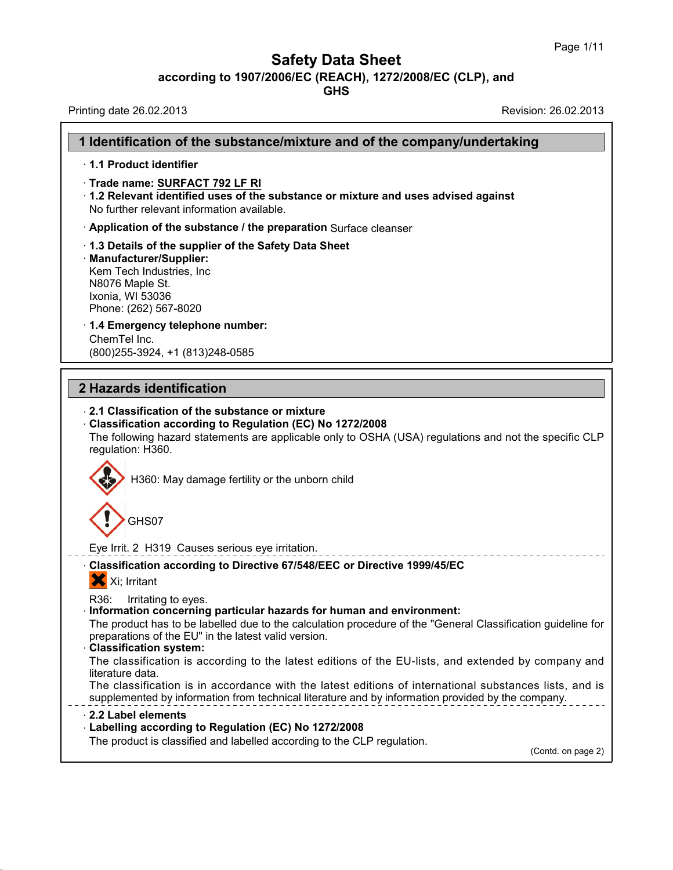| <b>Safety Data Sheet</b><br>according to 1907/2006/EC (REACH), 1272/2008/EC (CLP), and<br><b>GHS</b>                                                                                                                                                                                                                                                                                                                                                                                                                                                                                                                                                   |                      |
|--------------------------------------------------------------------------------------------------------------------------------------------------------------------------------------------------------------------------------------------------------------------------------------------------------------------------------------------------------------------------------------------------------------------------------------------------------------------------------------------------------------------------------------------------------------------------------------------------------------------------------------------------------|----------------------|
| Printing date 26.02.2013                                                                                                                                                                                                                                                                                                                                                                                                                                                                                                                                                                                                                               | Revision: 26.02.2013 |
| 1 Identification of the substance/mixture and of the company/undertaking                                                                                                                                                                                                                                                                                                                                                                                                                                                                                                                                                                               |                      |
| 1.1 Product identifier                                                                                                                                                                                                                                                                                                                                                                                                                                                                                                                                                                                                                                 |                      |
| Trade name: SURFACT 792 LF RI<br>1.2 Relevant identified uses of the substance or mixture and uses advised against<br>No further relevant information available.                                                                                                                                                                                                                                                                                                                                                                                                                                                                                       |                      |
| Application of the substance / the preparation Surface cleanser                                                                                                                                                                                                                                                                                                                                                                                                                                                                                                                                                                                        |                      |
| 1.3 Details of the supplier of the Safety Data Sheet<br>· Manufacturer/Supplier:<br>Kem Tech Industries, Inc.<br>N8076 Maple St.<br>Ixonia, WI 53036<br>Phone: (262) 567-8020                                                                                                                                                                                                                                                                                                                                                                                                                                                                          |                      |
| 1.4 Emergency telephone number:<br>ChemTel Inc.<br>(800) 255-3924, +1 (813) 248-0585                                                                                                                                                                                                                                                                                                                                                                                                                                                                                                                                                                   |                      |
| 2 Hazards identification                                                                                                                                                                                                                                                                                                                                                                                                                                                                                                                                                                                                                               |                      |
|                                                                                                                                                                                                                                                                                                                                                                                                                                                                                                                                                                                                                                                        |                      |
| 2.1 Classification of the substance or mixture<br>Classification according to Regulation (EC) No 1272/2008<br>The following hazard statements are applicable only to OSHA (USA) regulations and not the specific CLP<br>regulation: H360.<br>H360: May damage fertility or the unborn child<br>GHS07                                                                                                                                                                                                                                                                                                                                                   |                      |
| Eye Irrit. 2 H319 Causes serious eye irritation.                                                                                                                                                                                                                                                                                                                                                                                                                                                                                                                                                                                                       |                      |
| Classification according to Directive 67/548/EEC or Directive 1999/45/EC<br>X Xi; Irritant                                                                                                                                                                                                                                                                                                                                                                                                                                                                                                                                                             |                      |
| R36:<br>Irritating to eyes.<br>Information concerning particular hazards for human and environment:<br>The product has to be labelled due to the calculation procedure of the "General Classification guideline for<br>preparations of the EU" in the latest valid version.<br><b>Classification system:</b><br>The classification is according to the latest editions of the EU-lists, and extended by company and<br>literature data.<br>The classification is in accordance with the latest editions of international substances lists, and is<br>supplemented by information from technical literature and by information provided by the company. |                      |
| 2.2 Label elements<br>- Labelling according to Regulation (EC) No 1272/2008                                                                                                                                                                                                                                                                                                                                                                                                                                                                                                                                                                            |                      |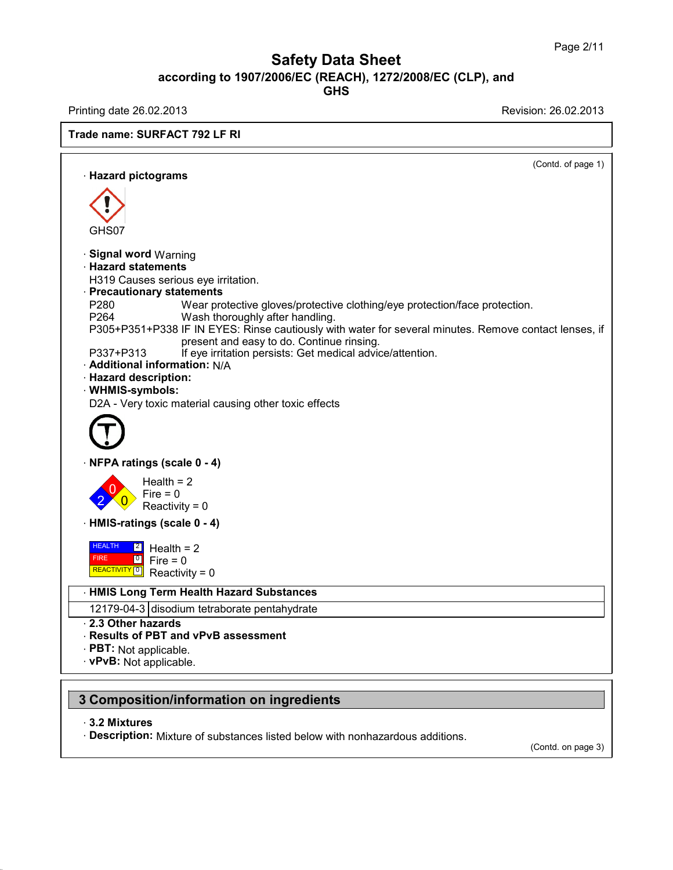Printing date 26.02.2013 Revision: 26.02.2013

**Trade name: SURFACT 792 LF RI**

(Contd. of page 1) · **Hazard pictograms** GHS07 · **Signal word** Warning · **Hazard statements** H319 Causes serious eye irritation. · **Precautionary statements** P280 Wear protective gloves/protective clothing/eye protection/face protection.<br>P264 Wash thoroughly after handling Wash thoroughly after handling. P305+P351+P338 IF IN EYES: Rinse cautiously with water for several minutes. Remove contact lenses, if present and easy to do. Continue rinsing. P337+P313 If eye irritation persists: Get medical advice/attention. · **Additional information:** N/A · **Hazard description:** · **WHMIS-symbols:** D2A - Very toxic material causing other toxic effects · **NFPA ratings (scale 0 - 4)**  $2 \times 0$  Reactivity = 0  $\frac{1}{2}$  Fire = 0 Health  $= 2$ · **HMIS-ratings (scale 0 - 4)** HEALTH 2 Hes FIRE HEALTH 2 Health = 2<br>FIRE 0 Fire = 0<br>REACTIVITY 0 Reactivity = 0  $\frac{1}{2}$  Fire = 0 · **HMIS Long Term Health Hazard Substances** 12179-04-3 disodium tetraborate pentahydrate · **2.3 Other hazards** · **Results of PBT and vPvB assessment** · **PBT:** Not applicable. · **vPvB:** Not applicable. **3 Composition/information on ingredients**

#### · **3.2 Mixtures**

· **Description:** Mixture of substances listed below with nonhazardous additions.

(Contd. on page 3)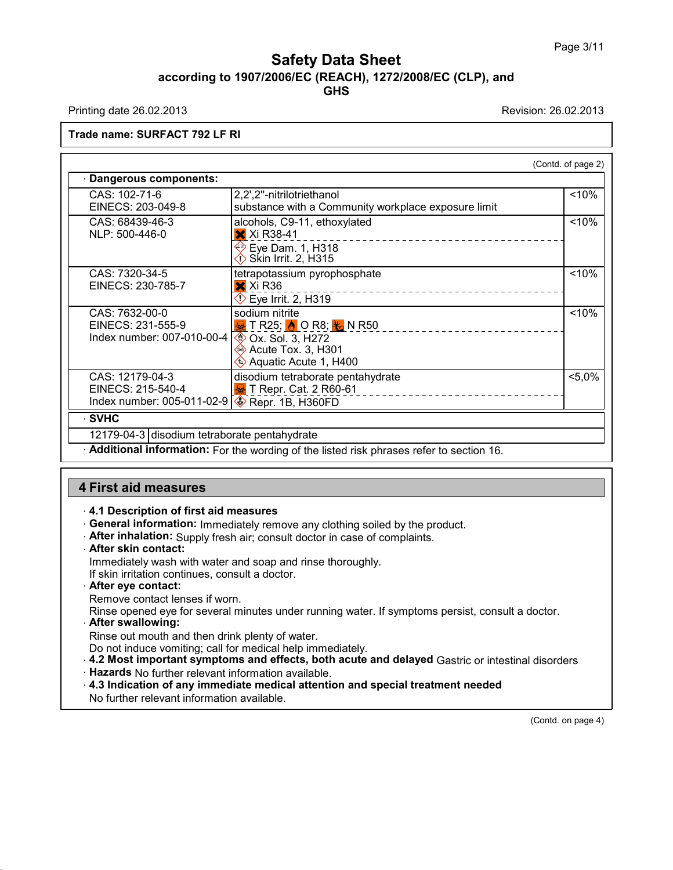Printing date 26.02.2013 Revision: 26.02.2013

**Trade name: SURFACT 792 LF RI**

|                                                                     |                                                                                                                                                             | (Contd. of page 2) |
|---------------------------------------------------------------------|-------------------------------------------------------------------------------------------------------------------------------------------------------------|--------------------|
| Dangerous components:                                               |                                                                                                                                                             |                    |
| CAS: 102-71-6<br>EINECS: 203-049-8                                  | 2,2',2"-nitrilotriethanol<br>substance with a Community workplace exposure limit                                                                            | < 10%              |
| CAS: 68439-46-3<br>NLP: 500-446-0                                   | alcohols, C9-11, ethoxylated<br><b>X</b> Xi R38-41                                                                                                          | $~10\%$            |
|                                                                     | <b>♦ Eye Dam. 1, H318</b><br><mark>♦ Skin Irrit. 2, H315</mark>                                                                                             |                    |
| CAS: 7320-34-5<br>EINECS: 230-785-7                                 | tetrapotassium pyrophosphate<br>X Xi R36<br>$\Diamond$ Eye Irrit. 2, H319                                                                                   | $~10\%$            |
| CAS: 7632-00-0<br>EINECS: 231-555-9<br>Index number: 007-010-00-4   | sodium nitrite<br>$\frac{1}{2}$ T R25; $\frac{1}{2}$ O R8; $\frac{1}{2}$ N R50<br>$\otimes$ Ox. Sol. 3, H272<br>Acute Tox. 3, H301<br>Aquatic Acute 1, H400 | < 10%              |
| CAS: 12179-04-3<br>EINECS: 215-540-4<br>Index number: 005-011-02-91 | disodium tetraborate pentahydrate<br>T Repr. Cat. 2 R60-61<br>$\otimes$ Repr. 1B, H360FD                                                                    | $< 5.0\%$          |
| · SVHC                                                              |                                                                                                                                                             |                    |

12179-04-3 disodium tetraborate pentahydrate

· **Additional information:** For the wording of the listed risk phrases refer to section 16.

#### **4 First aid measures**

- · **4.1 Description of first aid measures**
- · **General information:** Immediately remove any clothing soiled by the product.
- · **After inhalation:** Supply fresh air; consult doctor in case of complaints.
- · **After skin contact:**
- Immediately wash with water and soap and rinse thoroughly.
- If skin irritation continues, consult a doctor.
- · **After eye contact:**

Remove contact lenses if worn.

Rinse opened eye for several minutes under running water. If symptoms persist, consult a doctor.

· **After swallowing:**

Rinse out mouth and then drink plenty of water.

Do not induce vomiting; call for medical help immediately.

- · **4.2 Most important symptoms and effects, both acute and delayed** Gastric orintestinal disorders
- · **Hazards** No further relevant information available.
- · **4.3 Indication of any immediate medical attention and special treatment needed**

No further relevant information available.

(Contd. on page 4)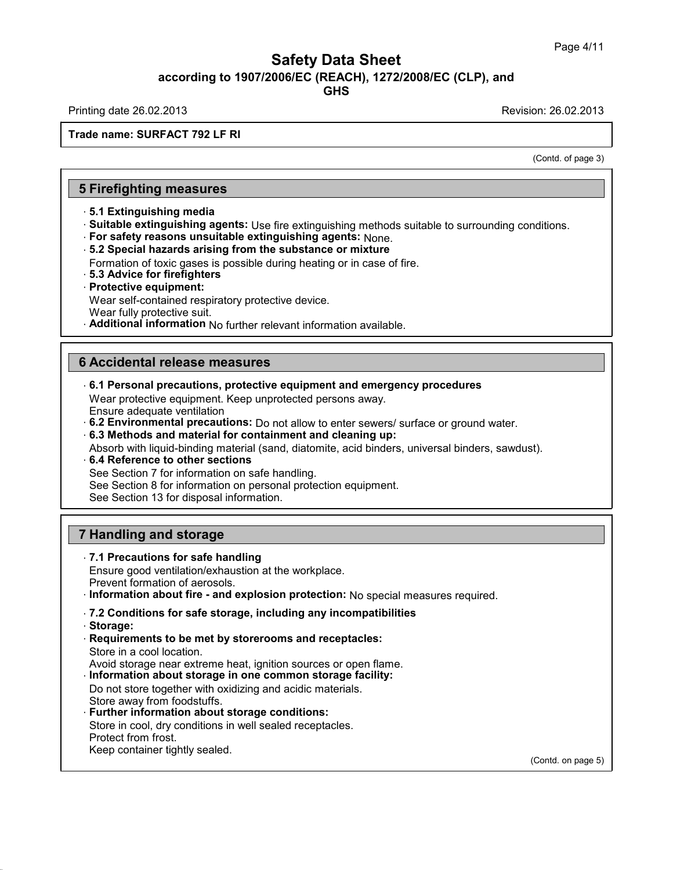Printing date 26.02.2013 Revision: 26.02.2013

**Trade name: SURFACT 792 LF RI**

(Contd. of page 3)

# **5 Firefighting measures**

- · **5.1 Extinguishing media**
- · **Suitable extinguishing agents:** Use fire extinguishing methods suitable to surrounding conditions.
- · **For safety reasons unsuitable extinguishing agents:** None.
- · **5.2 Special hazards arising from the substance ormixture**

Formation of toxic gases is possible during heating or in case of fire.

- · **5.3 Advice for firefighters**
- · **Protective equipment:**
- Wear self-contained respiratory protective device.
- Wear fully protective suit.
- · **Additional information** No further relevant information available.

## **6 Accidental release measures**

· **6.1 Personal precautions, protective equipment and emergency procedures**

Wear protective equipment. Keep unprotected persons away. Ensure adequate ventilation

- · **6.2 Environmental precautions:** Do not allow to enter sewers/ surface or ground water.
- · **6.3 Methods and material for containment and cleaning up:**
- Absorb with liquid-binding material (sand, diatomite, acid binders, universal binders, sawdust).
- · **6.4 Reference to other sections** See Section 7 for information on safe handling.
- See Section 8 for information on personal protection equipment.

See Section 13 for disposal information.

# **7 Handling and storage**

#### · **7.1 Precautions for safe handling**

Ensure good ventilation/exhaustion at the workplace.

- Prevent formation of aerosols.
- · **Information about fire - and explosion protection:** No special measures required.

#### · **7.2 Conditions for safe storage, including any incompatibilities**

- · **Storage:**
- · **Requirements to be met by storerooms and receptacles:** Store in a cool location.
- Avoid storage near extreme heat, ignition sources or open flame.
- · **Information about storage in one common storage facility:**

Do not store together with oxidizing and acidic materials. Store away from foodstuffs.

- · **Further information about storage conditions:** Store in cool, dry conditions in well sealed receptacles.
- Protect from frost.
- Keep container tightly sealed.

(Contd. on page 5)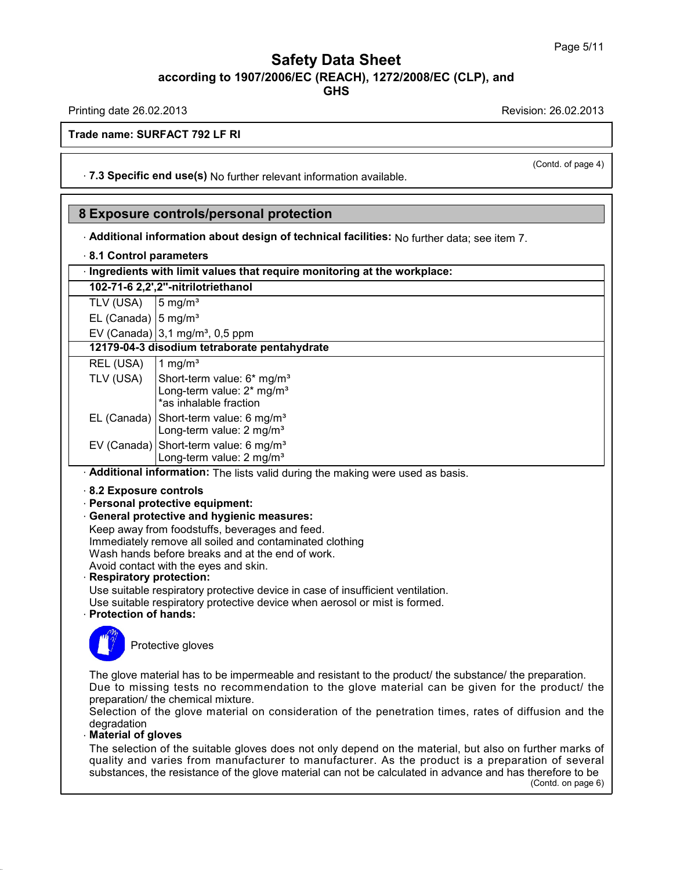**GHS**

Printing date 26.02.2013 Revision: 26.02.2013

(Contd. of page 4)

**Trade name: SURFACT 792 LF RI**

· **7.3 Specific end use(s)** No further relevant information available.

# **8 Exposure controls/personal protection**

· **Additional information about design of technical facilities:** No further data; see item 7.

#### · **8.1 Control parameters**

| $\cdot$ Ingredients with limit values that require monitoring at the workplace: |  |
|---------------------------------------------------------------------------------|--|
|---------------------------------------------------------------------------------|--|

| 102-71-6 2,2',2"-nitrilotriethanol          |  |  |
|---------------------------------------------|--|--|
| TLV (USA) $\left 5 \text{ mg/m}^3\right $   |  |  |
| EL (Canada) $\left 5 \text{ mg/m}^3\right $ |  |  |

EV (Canada)  $3,1 \text{ mg/m}^3$ , 0,5 ppm

|  | 12179-04-3 disodium tetraborate pentahydrate |  |
|--|----------------------------------------------|--|
|  |                                              |  |

| REL (USA) | $1$ mg/m <sup>3</sup>                                                                                                                                                                                                                                                                             |
|-----------|---------------------------------------------------------------------------------------------------------------------------------------------------------------------------------------------------------------------------------------------------------------------------------------------------|
|           | TLV (USA)<br>Short-term value: 6* mg/m <sup>3</sup><br>Long-term value: 2* mg/m <sup>3</sup><br>*as inhalable fraction<br>EL (Canada)<br>Short-term value: 6 mg/m <sup>3</sup><br>EV (Canada)<br>Short-term value: 2 mg/m <sup>3</sup><br>Long-term value: 6 mg/m <sup>3</sup><br>Long-term value |
|           |                                                                                                                                                                                                                                                                                                   |
|           |                                                                                                                                                                                                                                                                                                   |

· **Additional information:** The lists valid during the making were used as basis.

- · **8.2 Exposure controls**
- · **Personal protective equipment:**
- · **General protective and hygienic measures:**

Keep away from foodstuffs, beverages and feed. Immediately remove all soiled and contaminated clothing Wash hands before breaks and at the end of work. Avoid contact with the eyes and skin.

· **Respiratory protection:**

Use suitable respiratory protective device in case of insufficient ventilation.

Use suitable respiratory protective device when aerosol or mist is formed.

· **Protection of hands:**



Protective gloves

The glove material has to be impermeable and resistant to the product/ the substance/ the preparation. Due to missing tests no recommendation to the glove material can be given for the product/ the

preparation/ the chemical mixture. Selection of the glove material on consideration of the penetration times, rates of diffusion and the degradation

#### · **Material of gloves**

The selection of the suitable gloves does not only depend on the material, but also on further marks of quality and varies from manufacturer to manufacturer. As the product is a preparation of several substances, the resistance of the glove material can not be calculated in advance and has therefore to be

(Contd. on page 6)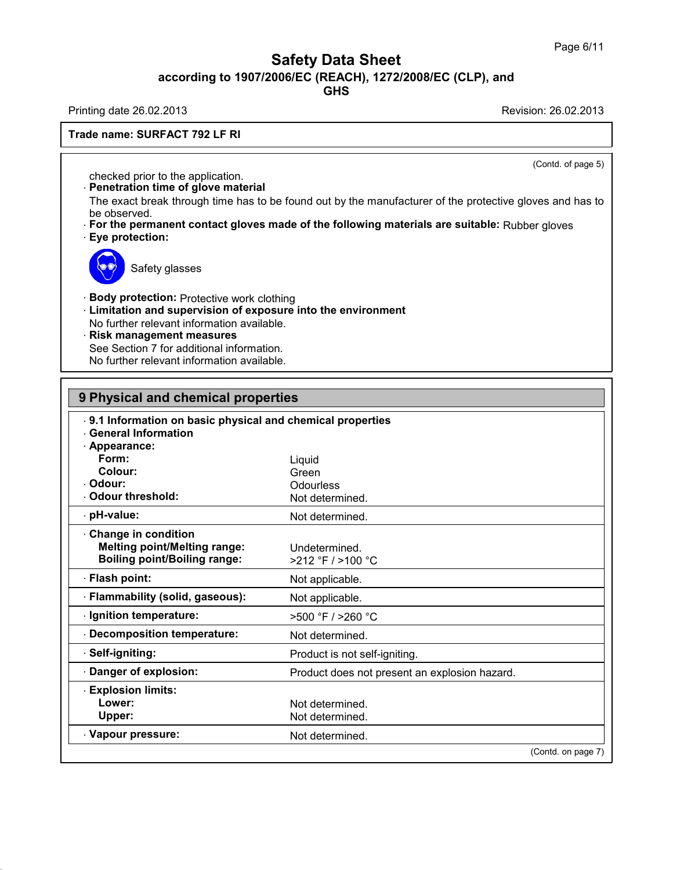**GHS**

Printing date 26.02.2013 Revision: 26.02.2013

**Trade name: SURFACT 792 LF RI**

(Contd. of page 5)

checked prior to the application.

· **Penetration time of glove material**

The exact break through time has to be found out by the manufacturer of the protective gloves and has to be observed.

· **For the permanent contact gloves made of the following materials are suitable:** Rubber gloves · **Eye protection:**



Safety glasses

· **Body protection:** Protective work clothing

- · **Limitation and supervision of exposure into the environment**
- No further relevant information available.
- · **Risk management measures**

See Section 7 for additional information.

No further relevant information available.

| 9 Physical and chemical properties                                                                         |                                               |  |
|------------------------------------------------------------------------------------------------------------|-----------------------------------------------|--|
| . 9.1 Information on basic physical and chemical properties<br><b>General Information</b><br>· Appearance: |                                               |  |
| Form:                                                                                                      | Liquid                                        |  |
| Colour:                                                                                                    | Green                                         |  |
| Odour:                                                                                                     | Odourless                                     |  |
| . Odour threshold:                                                                                         | Not determined.                               |  |
| · pH-value:                                                                                                | Not determined.                               |  |
| Change in condition<br><b>Melting point/Melting range:</b><br><b>Boiling point/Boiling range:</b>          | Undetermined.<br>>212 °F / >100 °C            |  |
| · Flash point:                                                                                             | Not applicable.                               |  |
| · Flammability (solid, gaseous):                                                                           | Not applicable.                               |  |
| · Ignition temperature:                                                                                    | $>500$ °F $/$ $>260$ °C                       |  |
| Decomposition temperature:                                                                                 | Not determined.                               |  |
| · Self-igniting:                                                                                           | Product is not self-igniting.                 |  |
| Danger of explosion:                                                                                       | Product does not present an explosion hazard. |  |
| <b>Explosion limits:</b>                                                                                   |                                               |  |
| Lower:                                                                                                     | Not determined.                               |  |
| Upper:                                                                                                     | Not determined.                               |  |
| Vapour pressure:                                                                                           | Not determined.                               |  |
|                                                                                                            | (Contd. on page 7)                            |  |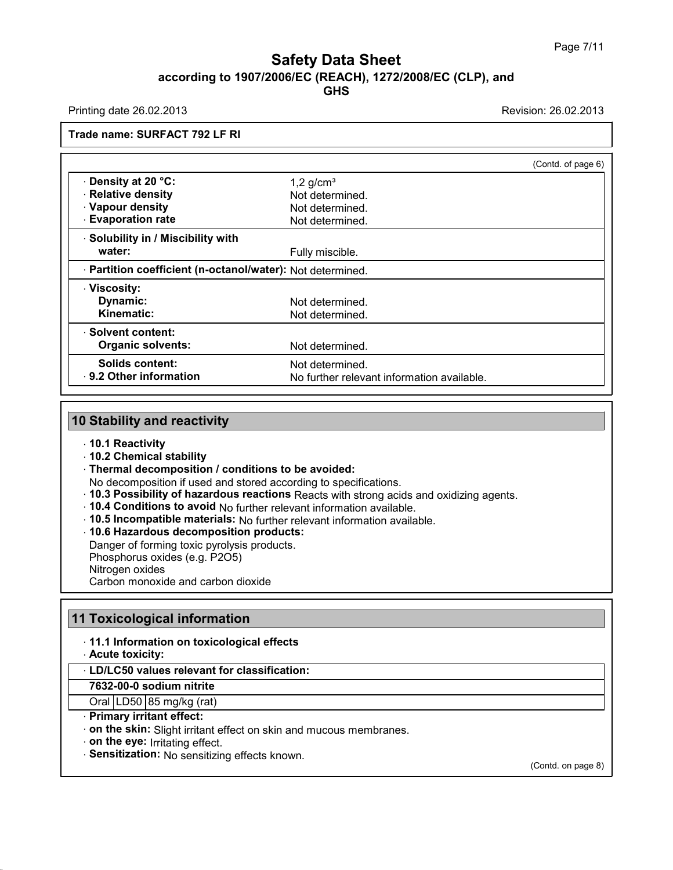Printing date 26.02.2013 Revision: 26.02.2013

**Trade name: SURFACT 792 LF RI**

|                                                            |                                            | (Contd. of page 6) |
|------------------------------------------------------------|--------------------------------------------|--------------------|
| Density at 20 °C:                                          | $1,2$ g/cm <sup>3</sup>                    |                    |
| · Relative density                                         | Not determined.                            |                    |
| · Vapour density                                           | Not determined.                            |                    |
| <b>Evaporation rate</b>                                    | Not determined.                            |                    |
| · Solubility in / Miscibility with                         |                                            |                    |
| water:                                                     | Fully miscible.                            |                    |
| · Partition coefficient (n-octanol/water): Not determined. |                                            |                    |
| · Viscosity:                                               |                                            |                    |
| Dynamic:                                                   | Not determined.                            |                    |
| Kinematic:                                                 | Not determined.                            |                    |
| · Solvent content:                                         |                                            |                    |
| <b>Organic solvents:</b>                                   | Not determined.                            |                    |
| <b>Solids content:</b>                                     | Not determined.                            |                    |
| . 9.2 Other information                                    | No further relevant information available. |                    |

#### **10 Stability and reactivity**

- · **10.1 Reactivity**
- · **10.2 Chemical stability**
- · **Thermal decomposition / conditions to be avoided:**
- No decomposition if used and stored according to specifications.
- · **10.3 Possibility of hazardous reactions** Reacts with strong acids and oxidizing agents.
- · **10.4 Conditions to avoid** No further relevant information available.
- · **10.5 Incompatible materials:** No further relevant information available.
- · **10.6 Hazardous decomposition products:**

Danger of forming toxic pyrolysis products.

Phosphorus oxides (e.g. P2O5)

Nitrogen oxides

Carbon monoxide and carbon dioxide

# **11 Toxicological information**

- · **11.1 Information on toxicological effects**
- · **Acute toxicity:**

#### · **LD/LC50 values relevant for classification:**

**7632-00-0 sodium nitrite**

#### Oral  $LD50$  85 mg/kg (rat) · **Primary irritant effect:**

- 
- · **on the skin:** Slight irritant effect on skin and mucous membranes.
- · **on the eye:** Irritating effect.
- · **Sensitization:** No sensitizing effects known.

(Contd. on page 8)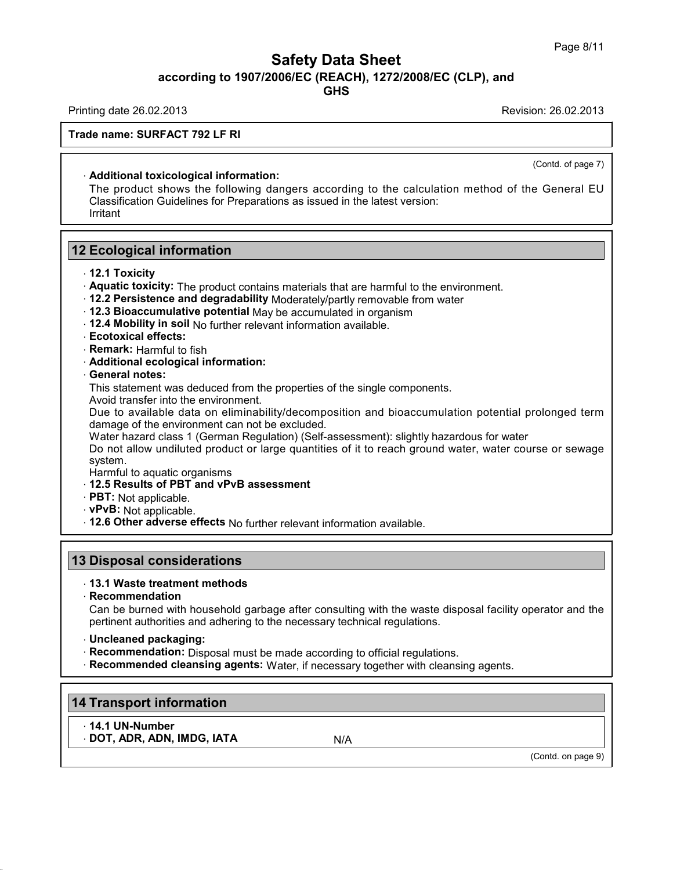Printing date 26.02.2013 Revision: 26.02.2013

**Trade name: SURFACT 792 LF RI**

#### · **Additional toxicological information:**

The product shows the following dangers according to the calculation method of the General EU Classification Guidelines for Preparations as issued in the latest version: Irritant

## **12 Ecological information**

- · **12.1 Toxicity**
- · **Aquatic toxicity:** The product contains materials that are harmful to the environment.
- · **12.2 Persistence and degradability** Moderately/partly removable from water
- · **12.3 Bioaccumulative potential** May be accumulated in organism
- · **12.4 Mobility in soil** No further relevant information available.
- · **Ecotoxical effects:**
- · **Remark:** Harmful to fish
- · **Additional ecological information:**
- · **General notes:**

This statement was deduced from the properties of the single components.

Avoid transfer into the environment.

Due to available data on eliminability/decomposition and bioaccumulation potential prolonged term damage of the environment can not be excluded.

Water hazard class 1 (German Regulation) (Self-assessment): slightly hazardous for water

Do not allow undiluted product or large quantities of it to reach ground water, water course or sewage system.

- Harmful to aquatic organisms
- · **12.5 Results of PBT and vPvB assessment**
- · **PBT:** Not applicable.
- · **vPvB:** Not applicable.
- · **12.6 Other adverse effects** No further relevant information available.

#### **13 Disposal considerations**

#### · **13.1 Waste treatment methods**

· **Recommendation**

Can be burned with household garbage after consulting with the waste disposal facility operator and the pertinent authorities and adhering to the necessary technical regulations.

- · **Uncleaned packaging:**
- · **Recommendation:** Disposal must be made according to official regulations.
- · **Recommended cleansing agents:** Water, if necessary together with cleansing agents.

# **14 Transport information**

· **14.1 UN-Number**

· **DOT, ADR, ADN, IMDG, IATA** N/A

(Contd. on page 9)

(Contd. of page 7)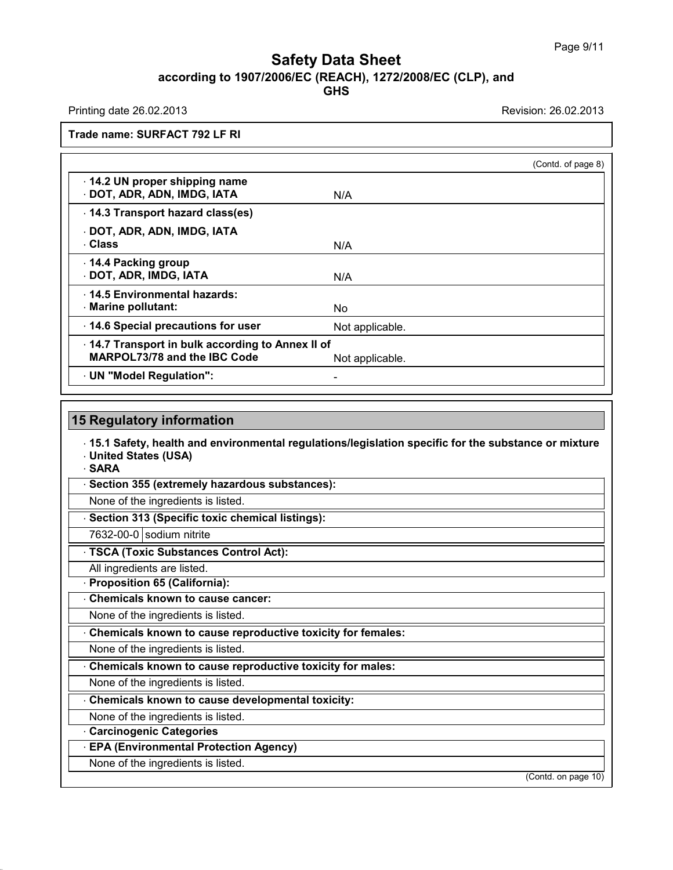Printing date 26.02.2013 Revision: 26.02.2013

**Trade name: SURFACT 792 LF RI**

|                                                                                        |                 | (Contd. of page 8) |
|----------------------------------------------------------------------------------------|-----------------|--------------------|
| 14.2 UN proper shipping name<br>DOT, ADR, ADN, IMDG, IATA                              | N/A             |                    |
| 14.3 Transport hazard class(es)                                                        |                 |                    |
| · DOT, ADR, ADN, IMDG, IATA<br>⋅ Class                                                 | N/A             |                    |
| 14.4 Packing group<br>DOT, ADR, IMDG, IATA                                             | N/A             |                    |
| . 14.5 Environmental hazards:<br>Marine pollutant:                                     | No.             |                    |
| 14.6 Special precautions for user                                                      | Not applicable. |                    |
| 14.7 Transport in bulk according to Annex II of<br><b>MARPOL73/78 and the IBC Code</b> | Not applicable. |                    |
| UN "Model Regulation":                                                                 |                 |                    |

#### **15 Regulatory information**

· **15.1 Safety, health and environmental regulations/legislation specific for the substance ormixture** · **United States (USA)**

· **SARA**

· **Section 355 (extremely hazardous substances):**

None of the ingredients is listed.

· **Section 313 (Specific toxic chemical listings):**

7632-00-0 sodium nitrite

· **TSCA (Toxic Substances Control Act):**

All ingredients are listed.

· **Proposition 65 (California):**

· **Chemicals known to cause cancer:**

None of the ingredients is listed.

· **Chemicals known to cause reproductive toxicity for females:**

None of the ingredients is listed.

· **Chemicals known to cause reproductive toxicity for males:**

None of the ingredients is listed.

· **Chemicals known to cause developmental toxicity:**

None of the ingredients is listed.

· **Carcinogenic Categories**

· **EPA (Environmental Protection Agency)**

None of the ingredients is listed.

(Contd. on page 10)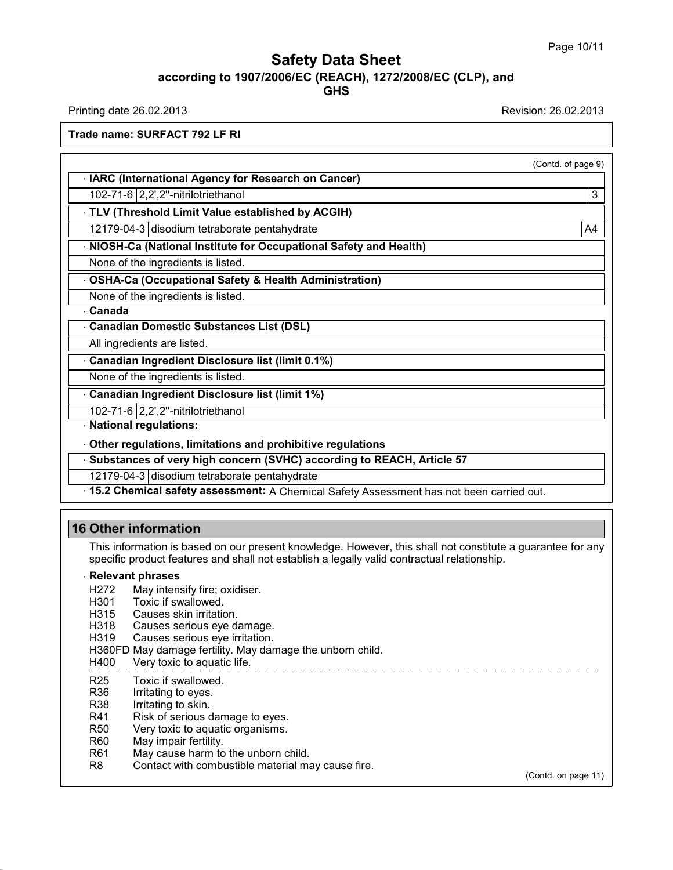Printing date 26.02.2013 Revision: 26.02.2013

(Contd. of page 9)

**Trade name: SURFACT 792 LF RI**

· **IARC (International Agency for Research on Cancer)**

102-71-6 2,2',2''-nitrilotriethanol 3

· **TLV (Threshold Limit Value established by ACGIH)**

12179-04-3 disodium tetraborate pentahydrate A45 and A4 and A4 and A4 and A4 and A4 and A4 and A4 and A4 and A

· **NIOSH-Ca (National Institute for Occupational Safety and Health)**

None of the ingredients is listed.

· **OSHA-Ca (Occupational Safety & Health Administration)**

None of the ingredients is listed.

· **Canada**

· **Canadian Domestic Substances List (DSL)**

All ingredients are listed.

· **Canadian Ingredient Disclosure list (limit 0.1%)**

None of the ingredients is listed.

· **Canadian Ingredient Disclosure list (limit 1%)**

102-71-6 2,2',2''-nitrilotriethanol

· **National regulations:**

· **Other regulations, limitations and prohibitive regulations**

· **Substances of very high concern (SVHC) according to REACH, Article 57**

12179-04-3 disodium tetraborate pentahydrate

· **15.2 Chemical safety assessment:** A Chemical Safety Assessment has not been carried out.

# **16 Other information**

This information is based on our present knowledge. However, this shall not constitute a guarantee for any specific product features and shall not establish a legally valid contractual relationship.

#### · **Relevant phrases**

- H272 May intensify fire; oxidiser.<br>H301 Toxic if swallowed.
- Toxic if swallowed.
- H315 Causes skin irritation.
- H318 Causes serious eye damage.
- H319 Causes serious eye irritation.

H360FD May damage fertility. May damage the unborn child.

H400 Very toxic to aquatic life.

- R25 Toxic if swallowed.
- R36 Irritating to eyes.
- R38 Irritating to skin.
- R41 Risk of serious damage to eyes.<br>R50 Very toxic to aquatic organisms.
- Very toxic to aquatic organisms.
- R60 May impair fertility.
- R61 May cause harm to the unborn child.
- R8 Contact with combustible material may cause fire.

(Contd. on page 11)